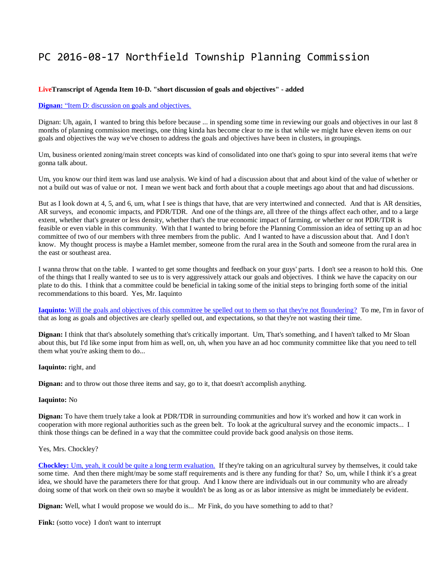# PC 2016-08-17 Northfield Township Planning Commission

### **LiveTranscript of Agenda Item 10-D. "short discussion of goals and objectives" - added**

## **Dignan:** "Item D: discussion on goals and objectives.

Dignan: Uh, again, I wanted to bring this before because ... in spending some time in reviewing our goals and objectives in our last 8 months of planning commission meetings, one thing kinda has become clear to me is that while we might have eleven items on our goals and objectives the way we've chosen to address the goals and objectives have been in clusters, in groupings.

Um, business oriented zoning/main street concepts was kind of consolidated into one that's going to spur into several items that we're gonna talk about.

Um, you know our third item was land use analysis. We kind of had a discussion about that and about kind of the value of whether or not a build out was of value or not. I mean we went back and forth about that a couple meetings ago about that and had discussions.

But as I look down at 4, 5, and 6, um, what I see is things that have, that are very intertwined and connected. And that is AR densities, AR surveys, and economic impacts, and PDR/TDR. And one of the things are, all three of the things affect each other, and to a large extent, whether that's greater or less density, whether that's the true economic impact of farming, or whether or not PDR/TDR is feasible or even viable in this community. With that I wanted to bring before the Planning Commission an idea of setting up an ad hoc committee of two of our members with three members from the public. And I wanted to have a discussion about that. And I don't know. My thought process is maybe a Hamlet member, someone from the rural area in the South and someone from the rural area in the east or southeast area.

I wanna throw that on the table. I wanted to get some thoughts and feedback on your guys' parts. I don't see a reason to hold this. One of the things that I really wanted to see us to is very aggressively attack our goals and objectives. I think we have the capacity on our plate to do this. I think that a committee could be beneficial in taking some of the initial steps to bringing forth some of the initial recommendations to this board. Yes, Mr. Iaquinto

**Iaquinto:** [Will the goals and objectives of this committee be spelled out to them so that they're not floundering?](http://www.youtube.com/watch?v=0JfTnRKoHfk&t=125m19s) To me, I'm in favor of that as long as goals and objectives are clearly spelled out, and expectations, so that they're not wasting their time.

**Dignan:** I think that that's absolutely something that's critically important. Um, That's something, and I haven't talked to Mr Sloan about this, but I'd like some input from him as well, on, uh, when you have an ad hoc community committee like that you need to tell them what you're asking them to do...

#### **Iaquinto:** right, and

**Dignan:** and to throw out those three items and say, go to it, that doesn't accomplish anything.

#### **Iaquinto:** No

**Dignan:** To have them truely take a look at PDR/TDR in surrounding communities and how it's worked and how it can work in cooperation with more regional authorities such as the green belt. To look at the agricultural survey and the economic impacts... I think those things can be defined in a way that the committee could provide back good analysis on those items.

#### Yes, Mrs. Chockley?

**Chockley:** [Um, yeah, it could be quite a long term evaluation.](http://www.youtube.com/watch?v=0JfTnRKoHfk&t=126m52s) If they're taking on an agricultural survey by themselves, it could take some time. And then there might/may be some staff requirements and is there any funding for that? So, um, while I think it's a great idea, we should have the parameters there for that group. And I know there are individuals out in our community who are already doing some of that work on their own so maybe it wouldn't be as long as or as labor intensive as might be immediately be evident.

**Dignan:** Well, what I would propose we would do is... Mr Fink, do you have something to add to that?

**Fink:** (sotto voce) I don't want to interrupt